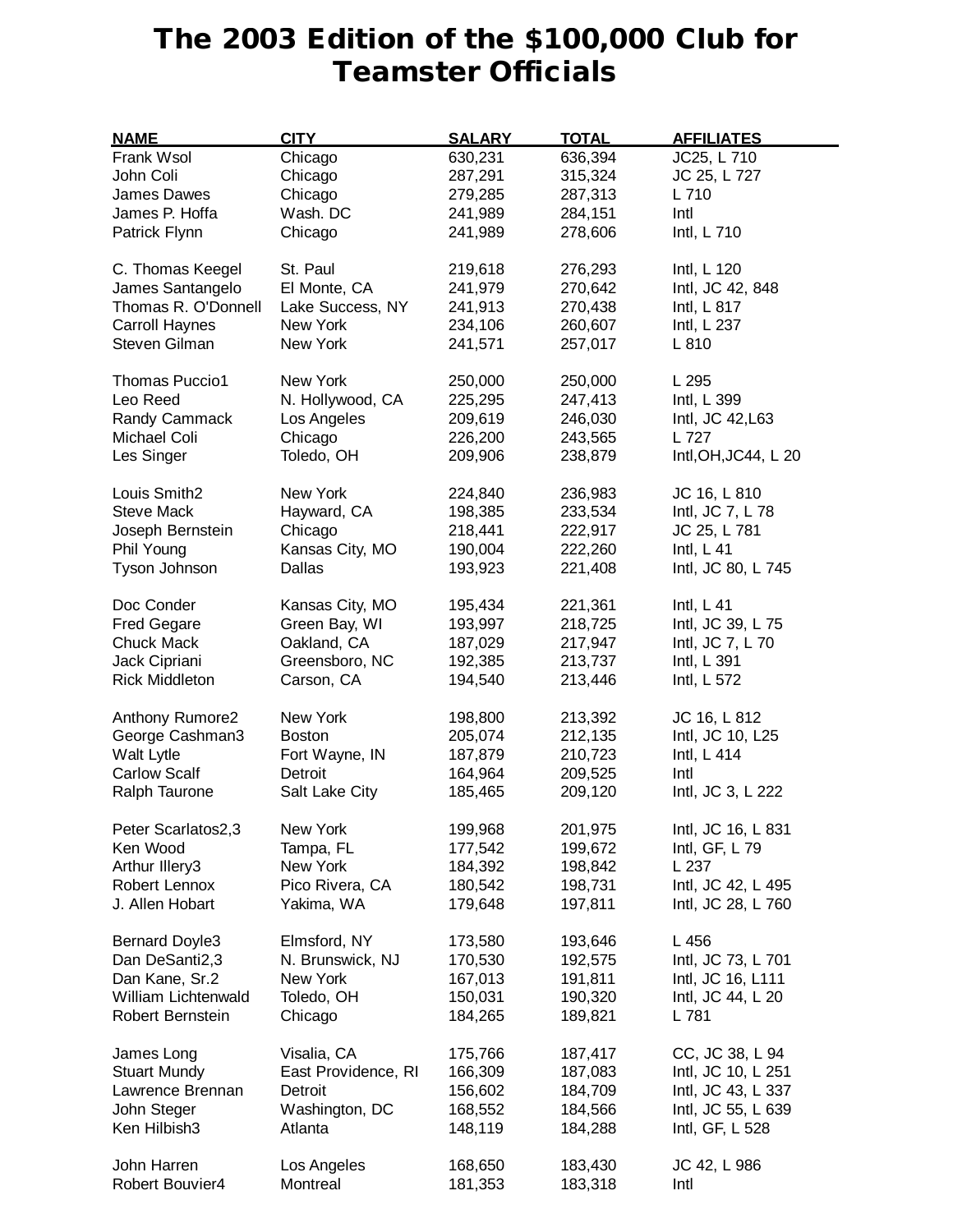## **The 2003 Edition of the \$100,000 Club for Teamster Officials**

| <b>NAME</b>           | <b>CITY</b>         | <b>SALARY</b> | <b>TOTAL</b> | <b>AFFILIATES</b>    |
|-----------------------|---------------------|---------------|--------------|----------------------|
| Frank Wsol            | Chicago             | 630,231       | 636,394      | JC25, L 710          |
| John Coli             | Chicago             | 287,291       | 315,324      | JC 25, L 727         |
| James Dawes           | Chicago             | 279,285       | 287,313      | L 710                |
| James P. Hoffa        | Wash. DC            | 241,989       | 284,151      | Intl                 |
| Patrick Flynn         | Chicago             | 241,989       | 278,606      | Intl, L 710          |
|                       |                     |               |              |                      |
| C. Thomas Keegel      | St. Paul            | 219,618       | 276,293      | Intl, L 120          |
| James Santangelo      | El Monte, CA        | 241,979       | 270,642      | Intl, JC 42, 848     |
| Thomas R. O'Donnell   | Lake Success, NY    | 241,913       | 270,438      | Intl, L 817          |
| Carroll Haynes        | New York            | 234,106       | 260,607      | Intl, L 237          |
| Steven Gilman         | New York            | 241,571       | 257,017      | L 810                |
|                       |                     |               |              |                      |
| <b>Thomas Puccio1</b> | New York            | 250,000       | 250,000      | L 295                |
| Leo Reed              | N. Hollywood, CA    | 225,295       | 247,413      | Intl, L 399          |
| Randy Cammack         | Los Angeles         | 209,619       | 246,030      | Intl, JC 42, L63     |
| Michael Coli          | Chicago             | 226,200       | 243,565      | L 727                |
| Les Singer            | Toledo, OH          | 209,906       | 238,879      | Intl, OH, JC44, L 20 |
|                       |                     |               |              |                      |
| Louis Smith2          | New York            | 224,840       | 236,983      | JC 16, L 810         |
| <b>Steve Mack</b>     | Hayward, CA         | 198,385       | 233,534      | Intl, JC 7, L 78     |
| Joseph Bernstein      | Chicago             | 218,441       | 222,917      | JC 25, L 781         |
| Phil Young            | Kansas City, MO     | 190,004       | 222,260      | Intl, $L$ 41         |
| Tyson Johnson         | Dallas              | 193,923       | 221,408      | Intl, JC 80, L 745   |
|                       |                     |               |              |                      |
| Doc Conder            | Kansas City, MO     | 195,434       | 221,361      | Intl, $L$ 41         |
| <b>Fred Gegare</b>    | Green Bay, WI       | 193,997       | 218,725      | Intl, JC 39, L 75    |
| <b>Chuck Mack</b>     | Oakland, CA         | 187,029       | 217,947      | Intl, JC 7, L 70     |
| Jack Cipriani         | Greensboro, NC      | 192,385       | 213,737      | Intl, L 391          |
| <b>Rick Middleton</b> | Carson, CA          | 194,540       | 213,446      | Intl, L 572          |
|                       |                     |               |              |                      |
| Anthony Rumore2       | New York            | 198,800       | 213,392      | JC 16, L 812         |
| George Cashman3       | <b>Boston</b>       | 205,074       | 212,135      | Intl, JC 10, L25     |
| Walt Lytle            | Fort Wayne, IN      | 187,879       | 210,723      | Intl, L 414          |
| <b>Carlow Scalf</b>   | Detroit             | 164,964       | 209,525      | Intl                 |
| Ralph Taurone         | Salt Lake City      | 185,465       | 209,120      | Intl, JC 3, L 222    |
| Peter Scarlatos2,3    | New York            | 199,968       | 201,975      | Intl, JC 16, L 831   |
| Ken Wood              | Tampa, FL           | 177,542       | 199,672      | Intl, GF, L 79       |
| Arthur Illery3        | New York            | 184,392       | 198,842      | L 237                |
| Robert Lennox         | Pico Rivera, CA     | 180,542       | 198,731      | Intl, JC 42, L 495   |
| J. Allen Hobart       | Yakima, WA          |               |              |                      |
|                       |                     | 179,648       | 197,811      | Intl, JC 28, L 760   |
| <b>Bernard Doyle3</b> | Elmsford, NY        | 173,580       | 193,646      | L 456                |
| Dan DeSanti2,3        | N. Brunswick, NJ    | 170,530       | 192,575      | Intl, JC 73, L 701   |
| Dan Kane, Sr.2        | New York            | 167,013       | 191,811      | Intl, JC 16, L111    |
| William Lichtenwald   | Toledo, OH          | 150,031       | 190,320      | Intl, JC 44, L 20    |
| Robert Bernstein      | Chicago             | 184,265       | 189,821      | L 781                |
|                       |                     |               |              |                      |
| James Long            | Visalia, CA         | 175,766       | 187,417      | CC, JC 38, L 94      |
| <b>Stuart Mundy</b>   | East Providence, RI | 166,309       | 187,083      | Intl, JC 10, L 251   |
| Lawrence Brennan      | Detroit             | 156,602       | 184,709      | Intl, JC 43, L 337   |
| John Steger           | Washington, DC      | 168,552       | 184,566      | Intl, JC 55, L 639   |
| Ken Hilbish3          | Atlanta             | 148,119       | 184,288      | Intl, GF, L 528      |
|                       |                     |               |              |                      |
| John Harren           | Los Angeles         | 168,650       | 183,430      | JC 42, L 986         |
| Robert Bouvier4       | Montreal            | 181,353       | 183,318      | Intl                 |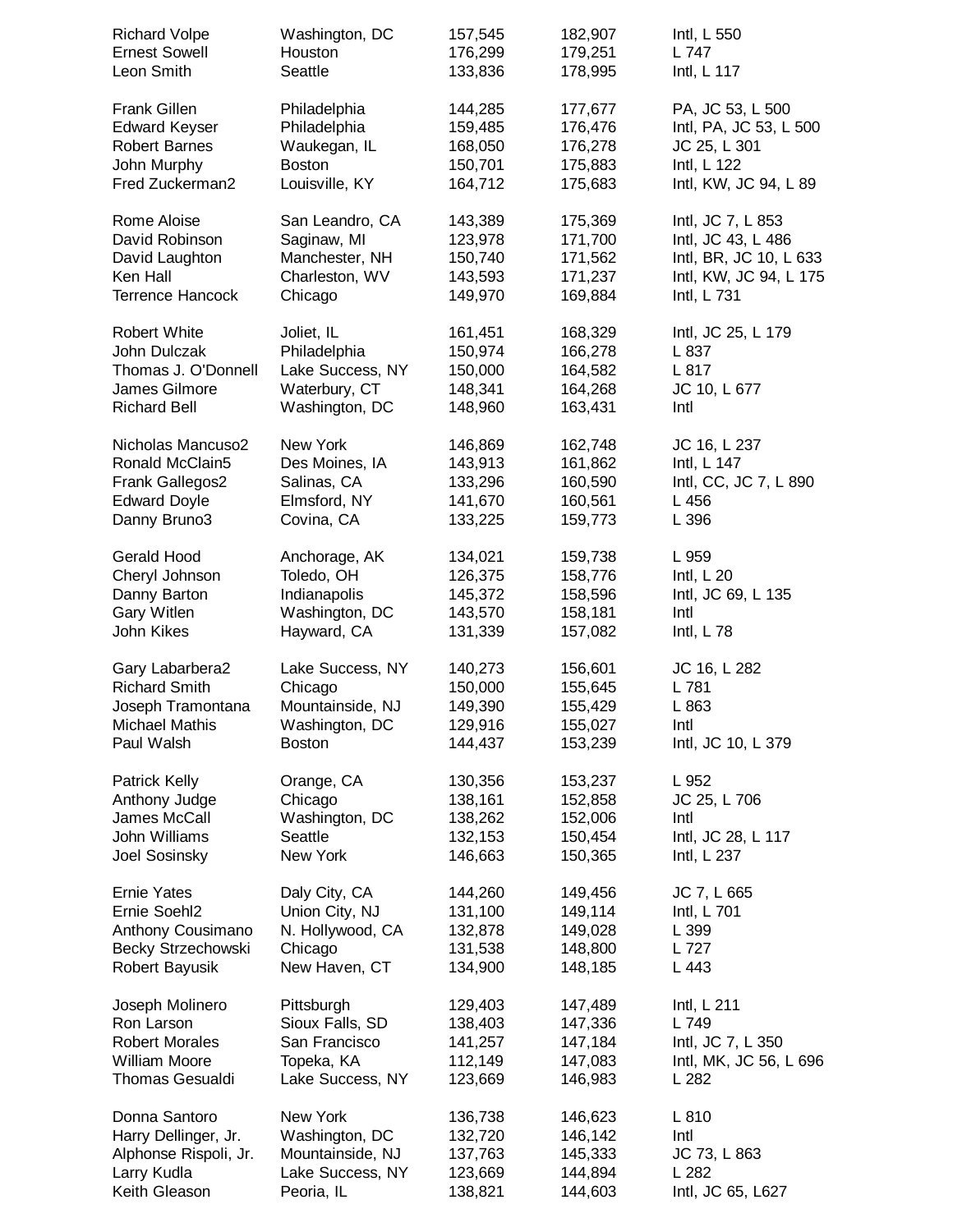| <b>Richard Volpe</b>    | Washington, DC   | 157,545 | 182,907 | Intl, L 550            |
|-------------------------|------------------|---------|---------|------------------------|
| <b>Ernest Sowell</b>    | Houston          | 176,299 | 179,251 | L 747                  |
| Leon Smith              | Seattle          | 133,836 | 178,995 | Intl, L 117            |
| <b>Frank Gillen</b>     | Philadelphia     | 144,285 | 177,677 | PA, JC 53, L 500       |
| <b>Edward Keyser</b>    | Philadelphia     | 159,485 | 176,476 | Intl, PA, JC 53, L 500 |
| <b>Robert Barnes</b>    | Waukegan, IL     | 168,050 | 176,278 | JC 25, L 301           |
| John Murphy             | <b>Boston</b>    | 150,701 | 175,883 | Intl, L 122            |
| Fred Zuckerman2         | Louisville, KY   | 164,712 | 175,683 | Intl, KW, JC 94, L 89  |
| Rome Aloise             | San Leandro, CA  | 143,389 | 175,369 | Intl, JC 7, L 853      |
| David Robinson          | Saginaw, MI      | 123,978 | 171,700 | Intl, JC 43, L 486     |
| David Laughton          | Manchester, NH   | 150,740 | 171,562 | Intl, BR, JC 10, L 633 |
| Ken Hall                | Charleston, WV   | 143,593 | 171,237 | Intl, KW, JC 94, L 175 |
| <b>Terrence Hancock</b> | Chicago          | 149,970 | 169,884 | Intl, L 731            |
| <b>Robert White</b>     | Joliet, IL       | 161,451 | 168,329 | Intl, JC 25, L 179     |
| John Dulczak            | Philadelphia     | 150,974 | 166,278 | L 837                  |
| Thomas J. O'Donnell     | Lake Success, NY | 150,000 | 164,582 | L 817                  |
| James Gilmore           | Waterbury, CT    | 148,341 | 164,268 | JC 10, L 677           |
| <b>Richard Bell</b>     | Washington, DC   | 148,960 | 163,431 | Intl                   |
| Nicholas Mancuso2       | New York         | 146,869 | 162,748 | JC 16, L 237           |
| Ronald McClain5         | Des Moines, IA   | 143,913 | 161,862 | Intl, L 147            |
| Frank Gallegos2         | Salinas, CA      | 133,296 | 160,590 | Intl, CC, JC 7, L 890  |
| <b>Edward Doyle</b>     | Elmsford, NY     | 141,670 | 160,561 | L 456                  |
| Danny Bruno3            | Covina, CA       | 133,225 | 159,773 | L 396                  |
| Gerald Hood             | Anchorage, AK    | 134,021 | 159,738 | L 959                  |
| Cheryl Johnson          | Toledo, OH       | 126,375 | 158,776 | Intl, $L$ 20           |
| Danny Barton            | Indianapolis     | 145,372 | 158,596 | Intl, JC 69, L 135     |
| <b>Gary Witlen</b>      | Washington, DC   | 143,570 | 158,181 | Intl                   |
| John Kikes              | Hayward, CA      | 131,339 | 157,082 | Intl, $L$ 78           |
| Gary Labarbera2         | Lake Success, NY | 140,273 | 156,601 | JC 16, L 282           |
| <b>Richard Smith</b>    | Chicago          | 150,000 | 155,645 | L 781                  |
| Joseph Tramontana       | Mountainside, NJ | 149,390 | 155,429 | L 863                  |
| Michael Mathis          | Washington, DC   | 129,916 | 155,027 | Intl                   |
| Paul Walsh              | <b>Boston</b>    | 144,437 | 153,239 | Intl, JC 10, L 379     |
| Patrick Kelly           | Orange, CA       | 130,356 | 153,237 | L 952                  |
| Anthony Judge           | Chicago          | 138,161 | 152,858 | JC 25, L 706           |
| James McCall            | Washington, DC   | 138,262 | 152,006 | Intl                   |
| John Williams           | Seattle          | 132,153 | 150,454 | Intl, JC 28, L 117     |
| Joel Sosinsky           | New York         | 146,663 | 150,365 | Intl, L 237            |
| <b>Ernie Yates</b>      | Daly City, CA    | 144,260 | 149,456 | JC 7, L 665            |
| Ernie Soehl2            | Union City, NJ   | 131,100 | 149,114 | Intl, L 701            |
| Anthony Cousimano       | N. Hollywood, CA | 132,878 | 149,028 | L 399                  |
| Becky Strzechowski      | Chicago          | 131,538 | 148,800 | L 727                  |
| Robert Bayusik          | New Haven, CT    | 134,900 | 148,185 | L 443                  |
| Joseph Molinero         | Pittsburgh       | 129,403 | 147,489 | Intl, L 211            |
| Ron Larson              | Sioux Falls, SD  | 138,403 | 147,336 | L 749                  |
| <b>Robert Morales</b>   | San Francisco    | 141,257 | 147,184 | Intl, JC 7, L 350      |
| <b>William Moore</b>    | Topeka, KA       | 112,149 | 147,083 | Intl, MK, JC 56, L 696 |
| <b>Thomas Gesualdi</b>  | Lake Success, NY | 123,669 | 146,983 | L 282                  |
| Donna Santoro           | New York         | 136,738 | 146,623 | L 810                  |
| Harry Dellinger, Jr.    | Washington, DC   | 132,720 | 146,142 | Intl                   |
| Alphonse Rispoli, Jr.   | Mountainside, NJ | 137,763 | 145,333 | JC 73, L 863           |
| Larry Kudla             | Lake Success, NY | 123,669 | 144,894 | L 282                  |
| Keith Gleason           | Peoria, IL       | 138,821 | 144,603 | Intl, JC 65, L627      |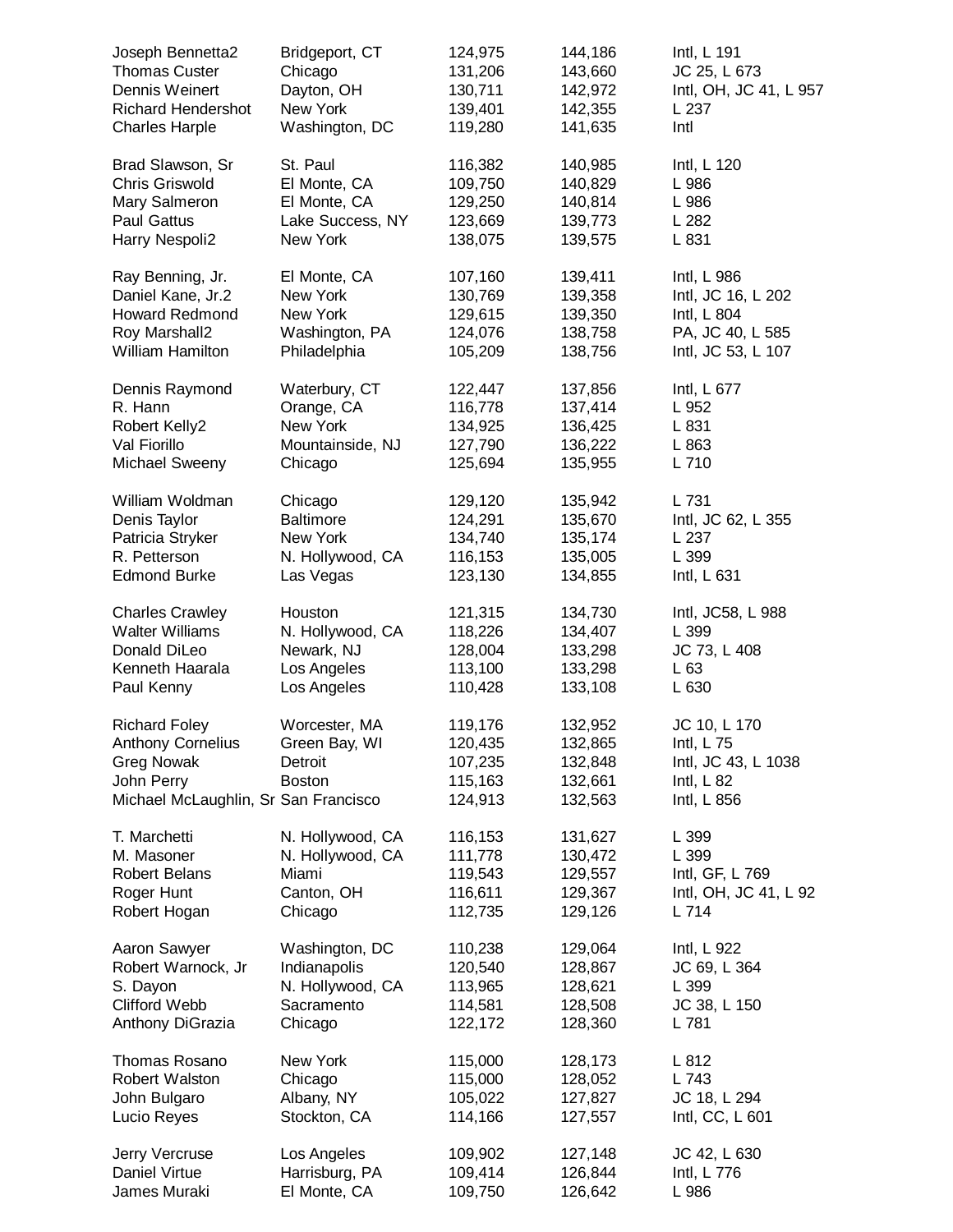| Joseph Bennetta2                                                                                                            | Bridgeport, CT                                             | 124,975                                             | 144,186                                             | Intl, L 191                                                                      |
|-----------------------------------------------------------------------------------------------------------------------------|------------------------------------------------------------|-----------------------------------------------------|-----------------------------------------------------|----------------------------------------------------------------------------------|
| <b>Thomas Custer</b>                                                                                                        | Chicago                                                    | 131,206                                             | 143,660                                             | JC 25, L 673                                                                     |
| Dennis Weinert                                                                                                              | Dayton, OH                                                 | 130,711                                             | 142,972                                             | Intl, OH, JC 41, L 957                                                           |
| <b>Richard Hendershot</b>                                                                                                   | New York                                                   | 139,401                                             | 142,355                                             | L 237                                                                            |
| <b>Charles Harple</b>                                                                                                       | Washington, DC                                             | 119,280                                             | 141,635                                             | Intl                                                                             |
| Brad Slawson, Sr                                                                                                            | St. Paul                                                   | 116,382                                             | 140,985                                             | Intl, L 120                                                                      |
| Chris Griswold                                                                                                              | El Monte, CA                                               | 109,750                                             | 140,829                                             | L 986                                                                            |
| Mary Salmeron                                                                                                               | El Monte, CA                                               | 129,250                                             | 140,814                                             | L 986                                                                            |
| <b>Paul Gattus</b>                                                                                                          | Lake Success, NY                                           | 123,669                                             | 139,773                                             | L 282                                                                            |
| Harry Nespoli2                                                                                                              | New York                                                   | 138,075                                             | 139,575                                             | L 831                                                                            |
| Ray Benning, Jr.                                                                                                            | El Monte, CA                                               | 107,160                                             | 139,411                                             | Intl, L 986                                                                      |
| Daniel Kane, Jr.2                                                                                                           | New York                                                   | 130,769                                             | 139,358                                             | Intl, JC 16, L 202                                                               |
| <b>Howard Redmond</b>                                                                                                       | New York                                                   | 129,615                                             | 139,350                                             | Intl, L 804                                                                      |
| Roy Marshall2                                                                                                               | Washington, PA                                             | 124,076                                             | 138,758                                             | PA, JC 40, L 585                                                                 |
| William Hamilton                                                                                                            | Philadelphia                                               | 105,209                                             | 138,756                                             | Intl, JC 53, L 107                                                               |
| Dennis Raymond                                                                                                              | Waterbury, CT                                              | 122,447                                             | 137,856                                             | Intl, L 677                                                                      |
| R. Hann                                                                                                                     | Orange, CA                                                 | 116,778                                             | 137,414                                             | L 952                                                                            |
| Robert Kelly2                                                                                                               | New York                                                   | 134,925                                             | 136,425                                             | L 831                                                                            |
| Val Fiorillo                                                                                                                | Mountainside, NJ                                           | 127,790                                             | 136,222                                             | L 863                                                                            |
| <b>Michael Sweeny</b>                                                                                                       | Chicago                                                    | 125,694                                             | 135,955                                             | L 710                                                                            |
| William Woldman                                                                                                             | Chicago                                                    | 129,120                                             | 135,942                                             | L 731                                                                            |
| Denis Taylor                                                                                                                | <b>Baltimore</b>                                           | 124,291                                             | 135,670                                             | Intl, JC 62, L 355                                                               |
| Patricia Stryker                                                                                                            | New York                                                   | 134,740                                             | 135,174                                             | L 237                                                                            |
| R. Petterson                                                                                                                | N. Hollywood, CA                                           | 116,153                                             | 135,005                                             | L 399                                                                            |
| <b>Edmond Burke</b>                                                                                                         | Las Vegas                                                  | 123,130                                             | 134,855                                             | Intl, L 631                                                                      |
| <b>Charles Crawley</b>                                                                                                      | Houston                                                    | 121,315                                             | 134,730                                             | Intl, JC58, L 988                                                                |
| <b>Walter Williams</b>                                                                                                      | N. Hollywood, CA                                           | 118,226                                             | 134,407                                             | L 399                                                                            |
| Donald DiLeo                                                                                                                | Newark, NJ                                                 | 128,004                                             | 133,298                                             | JC 73, L 408                                                                     |
| Kenneth Haarala                                                                                                             | Los Angeles                                                | 113,100                                             | 133,298                                             | L63                                                                              |
| Paul Kenny                                                                                                                  | Los Angeles                                                | 110,428                                             | 133,108                                             | L 630                                                                            |
| <b>Richard Foley</b><br><b>Anthony Cornelius</b><br><b>Greg Nowak</b><br>John Perry<br>Michael McLaughlin, Sr San Francisco | Worcester, MA<br>Green Bay, WI<br>Detroit<br><b>Boston</b> | 119,176<br>120,435<br>107,235<br>115,163<br>124,913 | 132,952<br>132,865<br>132,848<br>132,661<br>132,563 | JC 10, L 170<br>Intl, L 75<br>Intl, JC 43, L 1038<br>Intl, $L$ 82<br>Intl, L 856 |
| T. Marchetti                                                                                                                | N. Hollywood, CA                                           | 116,153                                             | 131,627                                             | L 399                                                                            |
| M. Masoner                                                                                                                  | N. Hollywood, CA                                           | 111,778                                             | 130,472                                             | L 399                                                                            |
| <b>Robert Belans</b>                                                                                                        | Miami                                                      | 119,543                                             | 129,557                                             | Intl, GF, L 769                                                                  |
| Roger Hunt                                                                                                                  | Canton, OH                                                 | 116,611                                             | 129,367                                             | Intl, OH, JC 41, L 92                                                            |
| Robert Hogan                                                                                                                | Chicago                                                    | 112,735                                             | 129,126                                             | L 714                                                                            |
| Aaron Sawyer                                                                                                                | Washington, DC                                             | 110,238                                             | 129,064                                             | Intl, L 922                                                                      |
| Robert Warnock, Jr                                                                                                          | Indianapolis                                               | 120,540                                             | 128,867                                             | JC 69, L 364                                                                     |
| S. Dayon                                                                                                                    | N. Hollywood, CA                                           | 113,965                                             | 128,621                                             | L 399                                                                            |
| <b>Clifford Webb</b>                                                                                                        | Sacramento                                                 | 114,581                                             | 128,508                                             | JC 38, L 150                                                                     |
| Anthony DiGrazia                                                                                                            | Chicago                                                    | 122,172                                             | 128,360                                             | L 781                                                                            |
| Thomas Rosano                                                                                                               | New York                                                   | 115,000                                             | 128,173                                             | L 812                                                                            |
| Robert Walston                                                                                                              | Chicago                                                    | 115,000                                             | 128,052                                             | L 743                                                                            |
| John Bulgaro                                                                                                                | Albany, NY                                                 | 105,022                                             | 127,827                                             | JC 18, L 294                                                                     |
| Lucio Reyes                                                                                                                 | Stockton, CA                                               | 114,166                                             | 127,557                                             | Intl, CC, L 601                                                                  |
| Jerry Vercruse                                                                                                              | Los Angeles                                                | 109,902                                             | 127,148                                             | JC 42, L 630                                                                     |
| Daniel Virtue                                                                                                               | Harrisburg, PA                                             | 109,414                                             | 126,844                                             | Intl, L 776                                                                      |
| James Muraki                                                                                                                | El Monte, CA                                               | 109,750                                             | 126,642                                             | L 986                                                                            |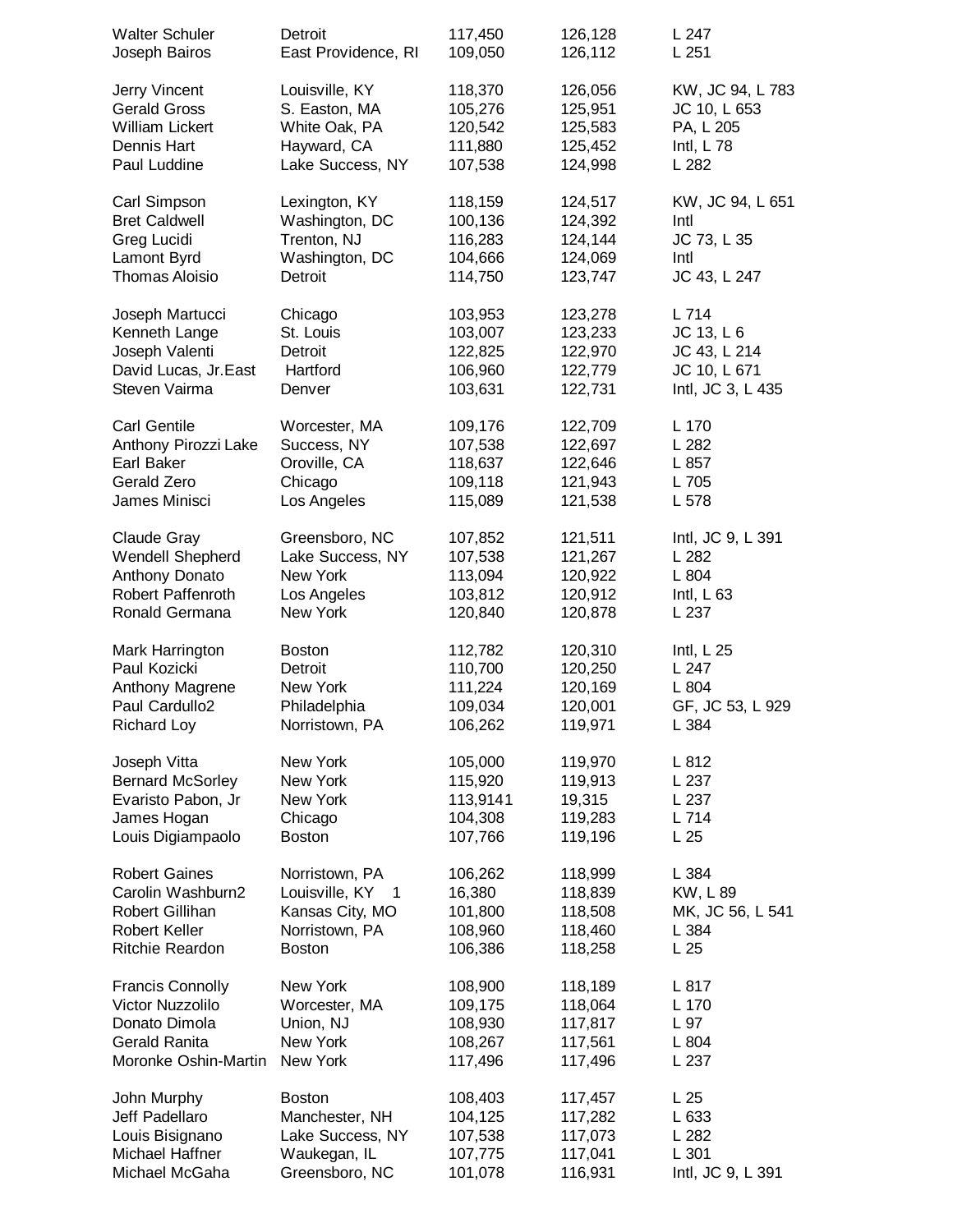| <b>Walter Schuler</b>                                        | Detroit                                                  | 117,450                      | 126,128                       | L 247                                 |
|--------------------------------------------------------------|----------------------------------------------------------|------------------------------|-------------------------------|---------------------------------------|
| Joseph Bairos                                                | East Providence, RI                                      | 109,050                      | 126,112                       | L251                                  |
| Jerry Vincent                                                | Louisville, KY                                           | 118,370                      | 126,056                       | KW, JC 94, L 783                      |
| <b>Gerald Gross</b>                                          | S. Easton, MA                                            | 105,276                      | 125,951                       | JC 10, L 653                          |
| <b>William Lickert</b>                                       | White Oak, PA                                            | 120,542                      | 125,583                       | PA, L 205                             |
| Dennis Hart                                                  | Hayward, CA                                              | 111,880                      | 125,452                       | Intl, $L$ 78                          |
| Paul Luddine                                                 | Lake Success, NY                                         | 107,538                      | 124,998                       | L 282                                 |
| Carl Simpson                                                 | Lexington, KY                                            | 118,159                      | 124,517                       | KW, JC 94, L 651                      |
| <b>Bret Caldwell</b>                                         | Washington, DC                                           | 100,136                      | 124,392                       | Intl                                  |
| Greg Lucidi                                                  | Trenton, NJ                                              | 116,283                      | 124,144                       | JC 73, L 35                           |
| Lamont Byrd                                                  | Washington, DC                                           | 104,666                      | 124,069                       | Intl                                  |
| <b>Thomas Aloisio</b>                                        | Detroit                                                  | 114,750                      | 123,747                       | JC 43, L 247                          |
| Joseph Martucci                                              | Chicago                                                  | 103,953                      | 123,278                       | L 714                                 |
| Kenneth Lange                                                | St. Louis                                                | 103,007                      | 123,233                       | JC 13, L 6                            |
| Joseph Valenti                                               | Detroit                                                  | 122,825                      | 122,970                       | JC 43, L 214                          |
| David Lucas, Jr.East                                         | Hartford                                                 | 106,960                      | 122,779                       | JC 10, L 671                          |
| Steven Vairma                                                | Denver                                                   | 103,631                      | 122,731                       | Intl, JC 3, L 435                     |
| <b>Carl Gentile</b>                                          | Worcester, MA                                            | 109,176                      | 122,709                       | L 170                                 |
| Anthony Pirozzi Lake                                         | Success, NY                                              | 107,538                      | 122,697                       | L 282                                 |
| Earl Baker                                                   | Oroville, CA                                             | 118,637                      | 122,646                       | L 857                                 |
| Gerald Zero                                                  | Chicago                                                  | 109,118                      | 121,943                       | L 705                                 |
| James Minisci                                                | Los Angeles                                              | 115,089                      | 121,538                       | L 578                                 |
| Claude Gray                                                  | Greensboro, NC                                           | 107,852                      | 121,511                       | Intl, JC 9, L 391                     |
| Wendell Shepherd                                             | Lake Success, NY                                         | 107,538                      | 121,267                       | L 282                                 |
| Anthony Donato                                               | New York                                                 | 113,094                      | 120,922                       | L 804                                 |
| <b>Robert Paffenroth</b>                                     | Los Angeles                                              | 103,812                      | 120,912                       | Intl, $L_{63}$                        |
| Ronald Germana                                               | New York                                                 | 120,840                      | 120,878                       | L 237                                 |
| Mark Harrington                                              | <b>Boston</b>                                            | 112,782                      | 120,310                       | Intl, $L$ 25                          |
| Paul Kozicki                                                 | Detroit                                                  | 110,700                      | 120,250                       | L 247                                 |
| Anthony Magrene                                              | New York                                                 | 111,224                      | 120,169                       | L 804                                 |
| Paul Cardullo <sub>2</sub>                                   | Philadelphia                                             | 109,034                      | 120,001                       | GF, JC 53, L 929                      |
| <b>Richard Loy</b>                                           | Norristown, PA                                           | 106,262                      | 119,971                       | L 384                                 |
| Joseph Vitta                                                 | New York                                                 | 105,000                      | 119,970                       | L812                                  |
| <b>Bernard McSorley</b>                                      | New York                                                 | 115,920                      | 119,913                       | L 237                                 |
| Evaristo Pabon, Jr                                           | New York                                                 | 113,9141                     | 19,315                        | L 237                                 |
| James Hogan                                                  | Chicago                                                  | 104,308                      | 119,283                       | L 714                                 |
| Louis Digiampaolo                                            | <b>Boston</b>                                            | 107,766                      | 119,196                       | L <sub>25</sub>                       |
| <b>Robert Gaines</b><br>Carolin Washburn2<br>Robert Gillihan | Norristown, PA<br>Louisville, KY<br>1<br>Kansas City, MO | 106,262<br>16,380<br>101,800 | 118,999<br>118,839<br>118,508 | L 384<br>KW, L 89<br>MK, JC 56, L 541 |
| <b>Robert Keller</b>                                         | Norristown, PA                                           | 108,960                      | 118,460                       | L 384                                 |
| <b>Ritchie Reardon</b>                                       | <b>Boston</b>                                            | 106,386                      | 118,258                       | L <sub>25</sub>                       |
| <b>Francis Connolly</b>                                      | New York                                                 | 108,900                      | 118,189                       | L 817                                 |
| Victor Nuzzolilo                                             | Worcester, MA                                            | 109,175                      | 118,064                       | L 170                                 |
| Donato Dimola                                                | Union, NJ                                                | 108,930                      | 117,817                       | L 97                                  |
| <b>Gerald Ranita</b>                                         | New York                                                 | 108,267                      | 117,561                       | L804                                  |
| Moronke Oshin-Martin                                         | New York                                                 | 117,496                      | 117,496                       | L 237                                 |
| John Murphy                                                  | <b>Boston</b>                                            | 108,403                      | 117,457                       | L <sub>25</sub>                       |
| Jeff Padellaro                                               | Manchester, NH                                           | 104,125                      | 117,282                       | L633                                  |
| Louis Bisignano                                              | Lake Success, NY                                         | 107,538                      | 117,073                       | L 282                                 |
| Michael Haffner                                              | Waukegan, IL                                             | 107,775                      | 117,041                       | L301                                  |
| Michael McGaha                                               | Greensboro, NC                                           | 101,078                      | 116,931                       | Intl, JC 9, L 391                     |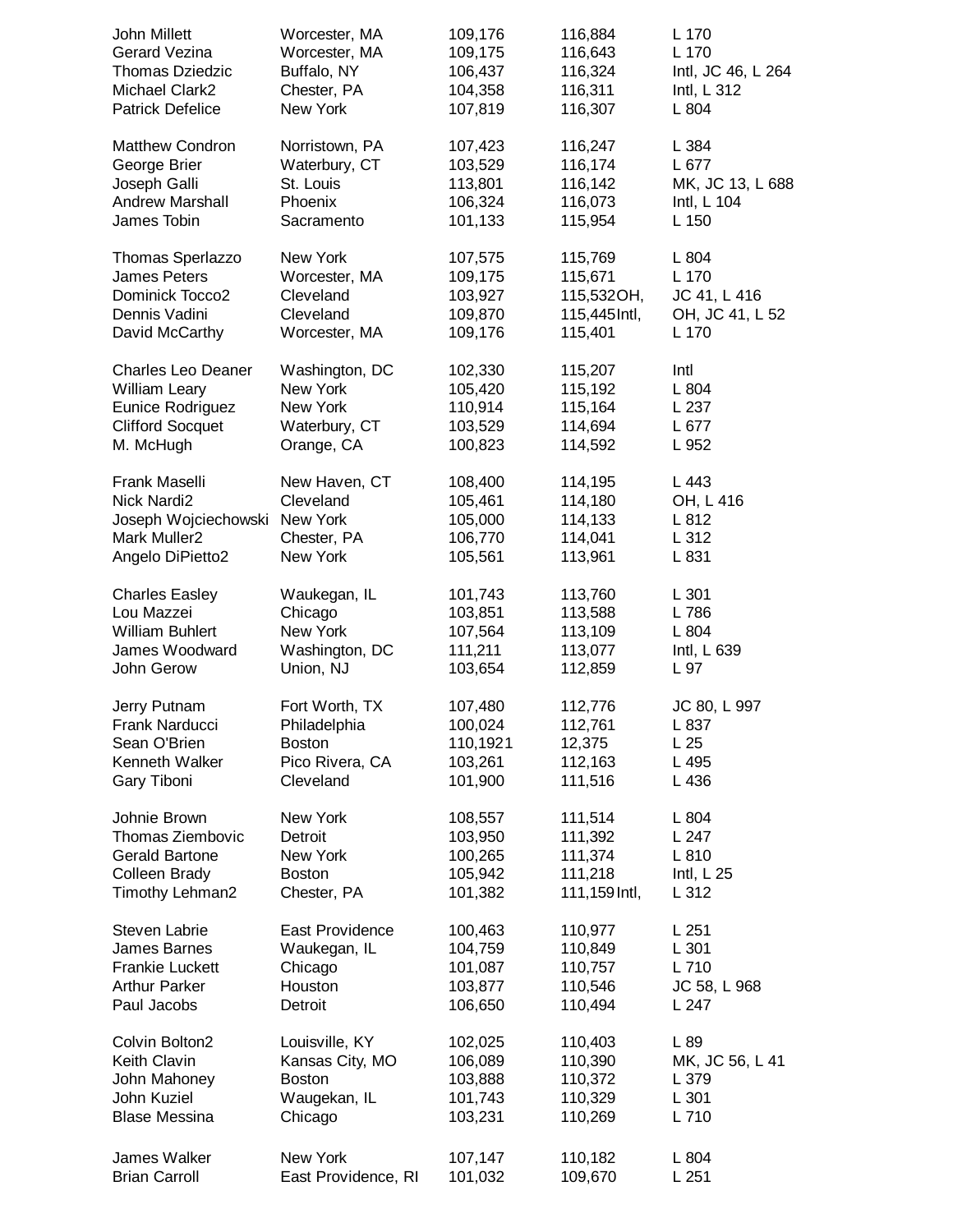| John Millett              | Worcester, MA       | 109,176  | 116,884       | L 170              |
|---------------------------|---------------------|----------|---------------|--------------------|
| <b>Gerard Vezina</b>      | Worcester, MA       | 109,175  | 116,643       | L 170              |
| <b>Thomas Dziedzic</b>    | Buffalo, NY         | 106,437  | 116,324       | Intl, JC 46, L 264 |
| Michael Clark2            | Chester, PA         | 104,358  | 116,311       | Intl, L 312        |
| <b>Patrick Defelice</b>   | New York            | 107,819  | 116,307       | L 804              |
| <b>Matthew Condron</b>    | Norristown, PA      | 107,423  | 116,247       | L 384              |
| George Brier              | Waterbury, CT       | 103,529  | 116,174       | L 677              |
| Joseph Galli              | St. Louis           | 113,801  | 116,142       | MK, JC 13, L 688   |
| <b>Andrew Marshall</b>    | Phoenix             | 106,324  | 116,073       | Intl, L 104        |
| James Tobin               | Sacramento          | 101,133  | 115,954       | L 150              |
| Thomas Sperlazzo          | New York            | 107,575  | 115,769       | L 804              |
| <b>James Peters</b>       | Worcester, MA       | 109,175  | 115,671       | L 170              |
| Dominick Tocco2           | Cleveland           | 103,927  | 115,532OH,    | JC 41, L 416       |
| Dennis Vadini             | Cleveland           | 109,870  | 115,445 Intl, | OH, JC 41, L 52    |
| David McCarthy            | Worcester, MA       | 109,176  | 115,401       | L 170              |
| <b>Charles Leo Deaner</b> | Washington, DC      | 102,330  | 115,207       | Intl               |
| William Leary             | New York            | 105,420  | 115,192       | L 804              |
| Eunice Rodriguez          | New York            | 110,914  | 115,164       | L 237              |
| <b>Clifford Socquet</b>   | Waterbury, CT       | 103,529  | 114,694       | L 677              |
| M. McHugh                 | Orange, CA          | 100,823  | 114,592       | L 952              |
| Frank Maselli             | New Haven, CT       | 108,400  | 114,195       | L 443              |
| Nick Nardi2               | Cleveland           | 105,461  | 114,180       | OH, L 416          |
| Joseph Wojciechowski      | New York            | 105,000  | 114,133       | L 812              |
| Mark Muller2              | Chester, PA         | 106,770  | 114,041       | L 312              |
| Angelo DiPietto2          | New York            | 105,561  | 113,961       | L 831              |
| <b>Charles Easley</b>     | Waukegan, IL        | 101,743  | 113,760       | L301               |
| Lou Mazzei                | Chicago             | 103,851  | 113,588       | L 786              |
| <b>William Buhlert</b>    | New York            | 107,564  | 113,109       | L 804              |
| James Woodward            | Washington, DC      | 111,211  | 113,077       | Intl, L 639        |
| John Gerow                | Union, NJ           | 103,654  | 112,859       | L 97               |
| Jerry Putnam              | Fort Worth, TX      | 107,480  | 112,776       | JC 80, L 997       |
| Frank Narducci            | Philadelphia        | 100,024  | 112,761       | L 837              |
| Sean O'Brien              | <b>Boston</b>       | 110,1921 | 12,375        | L <sub>25</sub>    |
| Kenneth Walker            | Pico Rivera, CA     | 103,261  | 112,163       | L 495              |
| Gary Tiboni               | Cleveland           | 101,900  | 111,516       | L 436              |
| Johnie Brown              | New York            | 108,557  | 111,514       | L804               |
| Thomas Ziembovic          | Detroit             | 103,950  | 111,392       | L 247              |
| <b>Gerald Bartone</b>     | New York            | 100,265  | 111,374       | L 810              |
| Colleen Brady             | <b>Boston</b>       | 105,942  | 111,218       | Intl, $L$ 25       |
| Timothy Lehman2           | Chester, PA         | 101,382  | 111,159 Intl, | L312               |
| Steven Labrie             | East Providence     | 100,463  | 110,977       | L251               |
| <b>James Barnes</b>       | Waukegan, IL        | 104,759  | 110,849       | L301               |
| Frankie Luckett           | Chicago             | 101,087  | 110,757       | L 710              |
| <b>Arthur Parker</b>      | Houston             | 103,877  | 110,546       | JC 58, L 968       |
| Paul Jacobs               | Detroit             | 106,650  | 110,494       | L 247              |
| Colvin Bolton2            | Louisville, KY      | 102,025  | 110,403       | L 89               |
| <b>Keith Clavin</b>       | Kansas City, MO     | 106,089  | 110,390       | MK, JC 56, L 41    |
| John Mahoney              | <b>Boston</b>       | 103,888  | 110,372       | L 379              |
| John Kuziel               | Waugekan, IL        | 101,743  | 110,329       | L301               |
| <b>Blase Messina</b>      | Chicago             | 103,231  | 110,269       | L 710              |
| James Walker              | New York            | 107,147  | 110,182       | L 804              |
| <b>Brian Carroll</b>      | East Providence, RI | 101,032  | 109,670       | L251               |